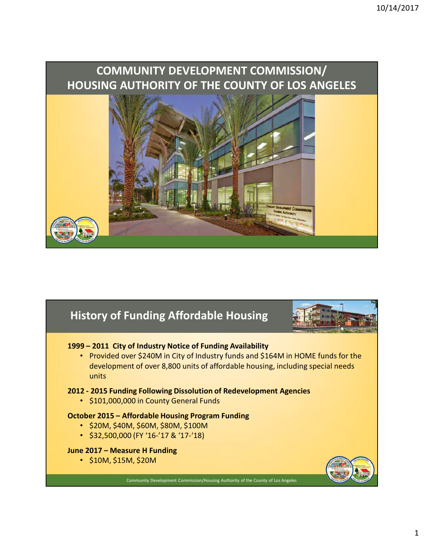# COMMUNITY DEVELOPMENT COMMISSION/ 10/14/2017<br>
COMMUNITY DEVELOPMENT COMMISSION/<br>
HOUSING AUTHORITY OF THE COUNTY OF LOS ANGELES 1999 – 2011 City of Industry Notice of Funding Availability<br>
1999 – 2011 City of Industry Notice of Funding Availability<br>
1999 – 2011 City of Industry Notice of Funding Availability<br>
1999 – 2011 City of Industry Notice of 2012 - 2015 Funding Affordable Housing<br>
2012 - 2011 City of Industry Notice of Funding Availability<br>
2012 - 2015 Funding Following Dissolution of Redevelopment Agencies<br>
2012 - 2015 Funding Following Dissolution of Redevel

# History of Funding Affordable Housing



• Provided over \$240M in City of Industry funds and \$164M in HOME funds for the development of over 8,800 units of affordable housing, including special needs units **COCTOBET 401**<br>
History of Funding Affordable Housing<br>
1999 – 2011 City of Industry Notice of Funding Availability<br>
Provided over \$240M in City of Industry funds and \$164M in HOME funds for<br>
development of over 8,800 units History of Funding Affordable Housing<br>
1999 – 2011 City of Industry Notice of Funding Availability<br>
Provided over \$240M in City of Industry funds and \$164M in HOME funds<br>
development of over 8,800 units of affordable housi

• \$101,000,000 in County General Funds

- \$20M, \$40M, \$60M, \$80M, \$100M
- \$32,500,000 (FY '16-'17 & '17-'18)

• \$10M, \$15M, \$20M



Community Development Commission/Housing Authority of the County of Los Angeles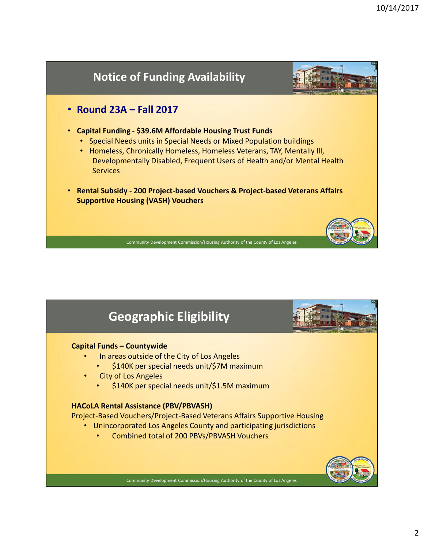

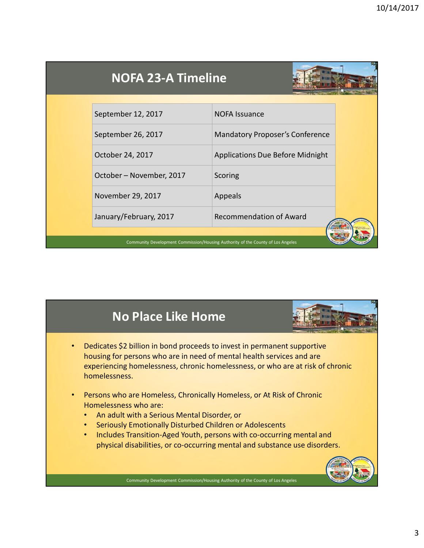| <b>NOFA 23-A Timeline</b> |                                         |  |
|---------------------------|-----------------------------------------|--|
| September 12, 2017        | <b>NOFA Issuance</b>                    |  |
| September 26, 2017        | Mandatory Proposer's Conference         |  |
| October 24, 2017          | <b>Applications Due Before Midnight</b> |  |
| October - November, 2017  | Scoring                                 |  |
|                           | Appeals                                 |  |
| November 29, 2017         |                                         |  |

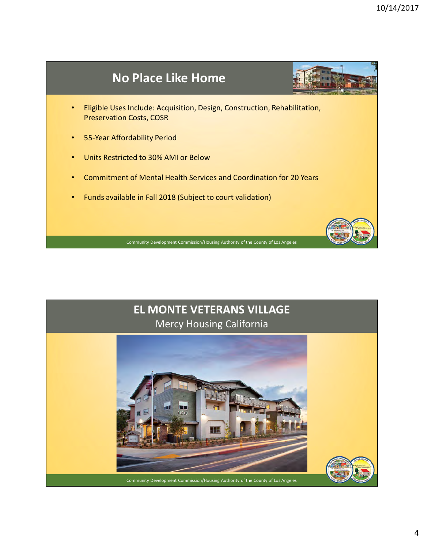

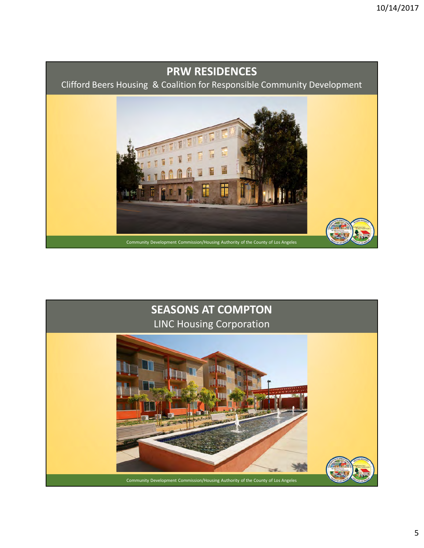# PRW RESIDENCES

Clifford Beers Housing & Coalition for Responsible Community Development



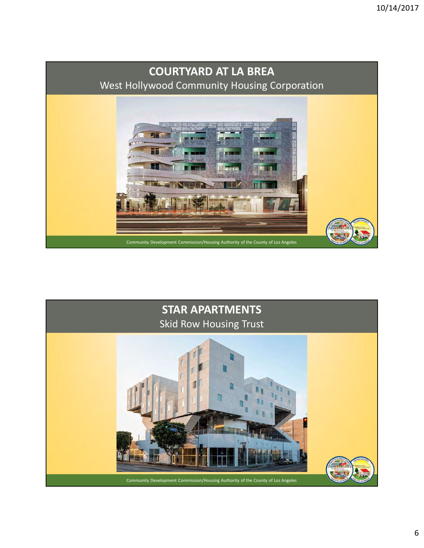